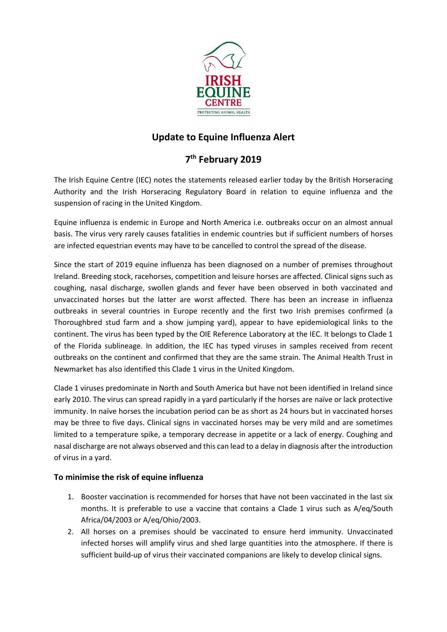

## **Update to Equine Influenza Alert**

## **7th February 2019**

The Irish Equine Centre (IEC) notes the statements released earlier today by the British Horseracing Authority and the Irish Horseracing Regulatory Board in relation to equine influenza and the suspension of racing in the United Kingdom.

Equine influenza is endemic in Europe and North America i.e. outbreaks occur on an almost annual basis. The virus very rarely causes fatalities in endemic countries but if sufficient numbers of horses are infected equestrian events may have to be cancelled to control the spread of the disease.

Since the start of 2019 equine influenza has been diagnosed on a number of premises throughout Ireland. Breeding stock, racehorses, competition and leisure horses are affected. Clinical signs such as coughing, nasal discharge, swollen glands and fever have been observed in both vaccinated and unvaccinated horses but the latter are worst affected. There has been an increase in influenza outbreaks in several countries in Europe recently and the first two Irish premises confirmed (a Thoroughbred stud farm and a show jumping yard), appear to have epidemiological links to the continent. The virus has been typed by the OIE Reference Laboratory at the IEC. It belongs to Clade 1 of the Florida sublineage. In addition, the IEC has typed viruses in samples received from recent outbreaks on the continent and confirmed that they are the same strain. The Animal Health Trust in Newmarket has also identified this Clade 1 virus in the United Kingdom.

Clade 1 viruses predominate in North and South America but have not been identified in Ireland since early 2010. The virus can spread rapidly in a yard particularly if the horses are naïve or lack protective immunity. In naïve horses the incubation period can be as short as 24 hours but in vaccinated horses may be three to five days. Clinical signs in vaccinated horses may be very mild and are sometimes limited to a temperature spike, a temporary decrease in appetite or a lack of energy. Coughing and nasal discharge are not always observed and this can lead to a delay in diagnosis after the introduction of virus in a yard.

## **To minimise the risk of equine influenza**

- 1. Booster vaccination is recommended for horses that have not been vaccinated in the last six months. It is preferable to use a vaccine that contains a Clade 1 virus such as A/eq/South Africa/04/2003 or A/eq/Ohio/2003.
- 2. All horses on a premises should be vaccinated to ensure herd immunity. Unvaccinated infected horses will amplify virus and shed large quantities into the atmosphere. If there is sufficient build-up of virus their vaccinated companions are likely to develop clinical signs.